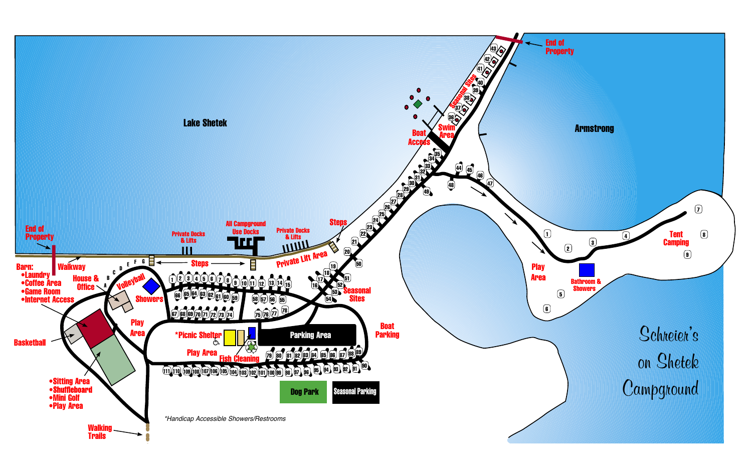